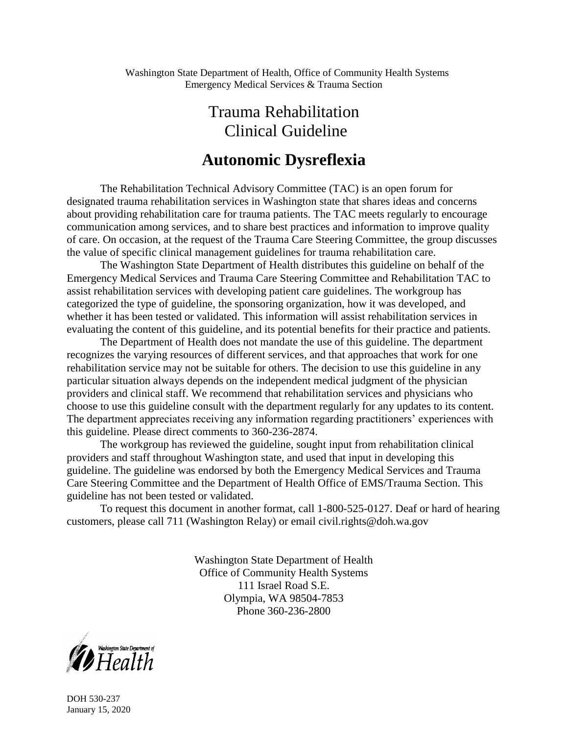# Trauma Rehabilitation Clinical Guideline

# **Autonomic Dysreflexia**

The Rehabilitation Technical Advisory Committee (TAC) is an open forum for designated trauma rehabilitation services in Washington state that shares ideas and concerns about providing rehabilitation care for trauma patients. The TAC meets regularly to encourage communication among services, and to share best practices and information to improve quality of care. On occasion, at the request of the Trauma Care Steering Committee, the group discusses the value of specific clinical management guidelines for trauma rehabilitation care.

The Washington State Department of Health distributes this guideline on behalf of the Emergency Medical Services and Trauma Care Steering Committee and Rehabilitation TAC to assist rehabilitation services with developing patient care guidelines. The workgroup has categorized the type of guideline, the sponsoring organization, how it was developed, and whether it has been tested or validated. This information will assist rehabilitation services in evaluating the content of this guideline, and its potential benefits for their practice and patients.

The Department of Health does not mandate the use of this guideline. The department recognizes the varying resources of different services, and that approaches that work for one rehabilitation service may not be suitable for others. The decision to use this guideline in any particular situation always depends on the independent medical judgment of the physician providers and clinical staff. We recommend that rehabilitation services and physicians who choose to use this guideline consult with the department regularly for any updates to its content. The department appreciates receiving any information regarding practitioners' experiences with this guideline. Please direct comments to 360-236-2874.

The workgroup has reviewed the guideline, sought input from rehabilitation clinical providers and staff throughout Washington state, and used that input in developing this guideline. The guideline was endorsed by both the Emergency Medical Services and Trauma Care Steering Committee and the Department of Health Office of EMS/Trauma Section. This guideline has not been tested or validated.

To request this document in another format, call 1-800-525-0127. Deaf or hard of hearing customers, please call 711 (Washington Relay) or email civil.rights@doh.wa.gov

> Washington State Department of Health Office of Community Health Systems 111 Israel Road S.E. Olympia, WA 98504-7853 Phone 360-236-2800



DOH 530-237 January 15, 2020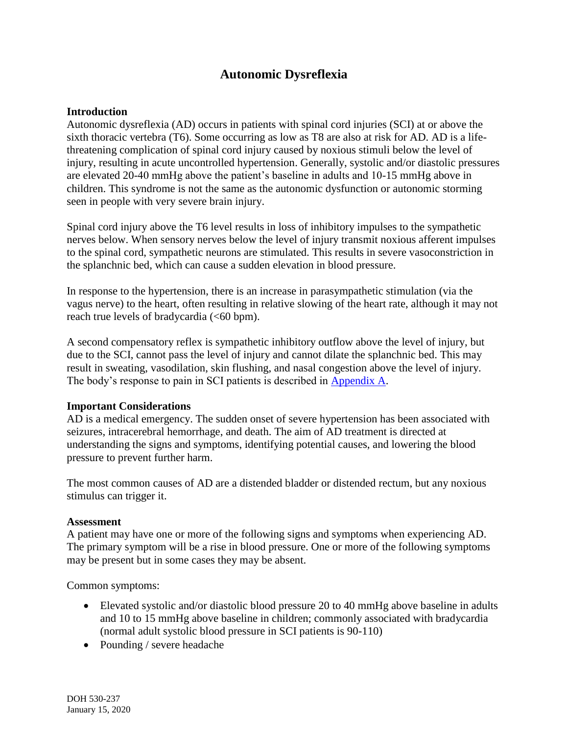# **Autonomic Dysreflexia**

### **Introduction**

Autonomic dysreflexia (AD) occurs in patients with spinal cord injuries (SCI) at or above the sixth thoracic vertebra (T6). Some occurring as low as T8 are also at risk for AD. AD is a lifethreatening complication of spinal cord injury caused by noxious stimuli below the level of injury, resulting in acute uncontrolled hypertension. Generally, systolic and/or diastolic pressures are elevated 20-40 mmHg above the patient's baseline in adults and 10-15 mmHg above in children. This syndrome is not the same as the autonomic dysfunction or autonomic storming seen in people with very severe brain injury.

Spinal cord injury above the T6 level results in loss of inhibitory impulses to the sympathetic nerves below. When sensory nerves below the level of injury transmit noxious afferent impulses to the spinal cord, sympathetic neurons are stimulated. This results in severe vasoconstriction in the splanchnic bed, which can cause a sudden elevation in blood pressure.

In response to the hypertension, there is an increase in parasympathetic stimulation (via the vagus nerve) to the heart, often resulting in relative slowing of the heart rate, although it may not reach true levels of bradycardia (<60 bpm).

A second compensatory reflex is sympathetic inhibitory outflow above the level of injury, but due to the SCI, cannot pass the level of injury and cannot dilate the splanchnic bed. This may result in sweating, vasodilation, skin flushing, and nasal congestion above the level of injury. The body's response to pain in SCI patients is described in [Appendix A.](#page-6-0)

#### **Important Considerations**

AD is a medical emergency. The sudden onset of severe hypertension has been associated with seizures, intracerebral hemorrhage, and death. The aim of AD treatment is directed at understanding the signs and symptoms, identifying potential causes, and lowering the blood pressure to prevent further harm.

The most common causes of AD are a distended bladder or distended rectum, but any noxious stimulus can trigger it.

#### **Assessment**

A patient may have one or more of the following signs and symptoms when experiencing AD. The primary symptom will be a rise in blood pressure. One or more of the following symptoms may be present but in some cases they may be absent.

Common symptoms:

- Elevated systolic and/or diastolic blood pressure 20 to 40 mmHg above baseline in adults and 10 to 15 mmHg above baseline in children; commonly associated with bradycardia (normal adult systolic blood pressure in SCI patients is 90-110)
- Pounding / severe headache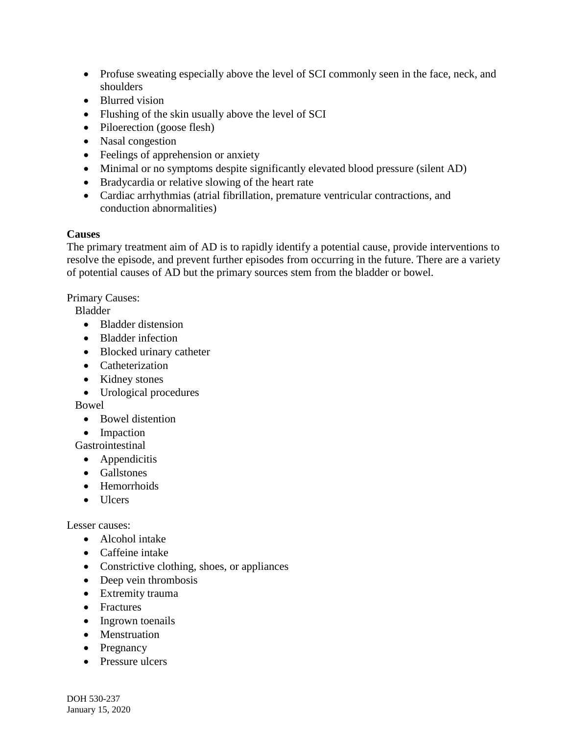- Profuse sweating especially above the level of SCI commonly seen in the face, neck, and shoulders
- Blurred vision
- Flushing of the skin usually above the level of SCI
- Piloerection (goose flesh)
- Nasal congestion
- Feelings of apprehension or anxiety
- Minimal or no symptoms despite significantly elevated blood pressure (silent AD)
- Bradycardia or relative slowing of the heart rate
- Cardiac arrhythmias (atrial fibrillation, premature ventricular contractions, and conduction abnormalities)

## **Causes**

The primary treatment aim of AD is to rapidly identify a potential cause, provide interventions to resolve the episode, and prevent further episodes from occurring in the future. There are a variety of potential causes of AD but the primary sources stem from the bladder or bowel.

Primary Causes:

Bladder

- Bladder distension
- Bladder infection
- Blocked urinary catheter
- Catheterization
- Kidney stones
- Urological procedures

Bowel

- Bowel distention
- Impaction

Gastrointestinal

- Appendicitis
- **•** Gallstones
- Hemorrhoids
- $\bullet$  Ulcers

Lesser causes:

- Alcohol intake
- Caffeine intake
- Constrictive clothing, shoes, or appliances
- Deep vein thrombosis
- Extremity trauma
- Fractures
- Ingrown toenails
- Menstruation
- Pregnancy
- Pressure ulcers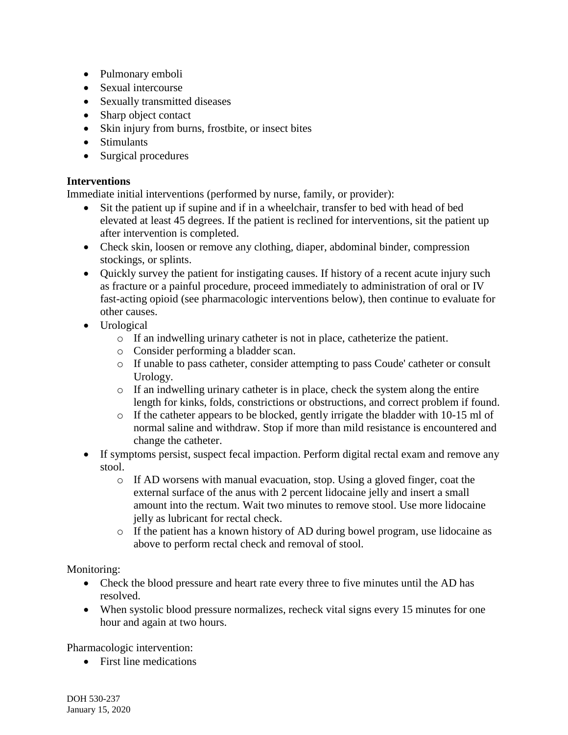- Pulmonary emboli
- Sexual intercourse
- Sexually transmitted diseases
- Sharp object contact
- Skin injury from burns, frostbite, or insect bites
- Stimulants
- Surgical procedures

## **Interventions**

Immediate initial interventions (performed by nurse, family, or provider):

- Sit the patient up if supine and if in a wheelchair, transfer to bed with head of bed elevated at least 45 degrees. If the patient is reclined for interventions, sit the patient up after intervention is completed.
- Check skin, loosen or remove any clothing, diaper, abdominal binder, compression stockings, or splints.
- Quickly survey the patient for instigating causes. If history of a recent acute injury such as fracture or a painful procedure, proceed immediately to administration of oral or IV fast-acting opioid (see pharmacologic interventions below), then continue to evaluate for other causes.
- Urological
	- o If an indwelling urinary catheter is not in place, catheterize the patient.
	- o Consider performing a bladder scan.
	- o If unable to pass catheter, consider attempting to pass Coude' catheter or consult Urology.
	- $\circ$  If an indwelling urinary catheter is in place, check the system along the entire length for kinks, folds, constrictions or obstructions, and correct problem if found.
	- o If the catheter appears to be blocked, gently irrigate the bladder with 10-15 ml of normal saline and withdraw. Stop if more than mild resistance is encountered and change the catheter.
- If symptoms persist, suspect fecal impaction. Perform digital rectal exam and remove any stool.
	- o If AD worsens with manual evacuation, stop. Using a gloved finger, coat the external surface of the anus with 2 percent lidocaine jelly and insert a small amount into the rectum. Wait two minutes to remove stool. Use more lidocaine jelly as lubricant for rectal check.
	- o If the patient has a known history of AD during bowel program, use lidocaine as above to perform rectal check and removal of stool.

Monitoring:

- Check the blood pressure and heart rate every three to five minutes until the AD has resolved.
- When systolic blood pressure normalizes, recheck vital signs every 15 minutes for one hour and again at two hours.

Pharmacologic intervention:

• First line medications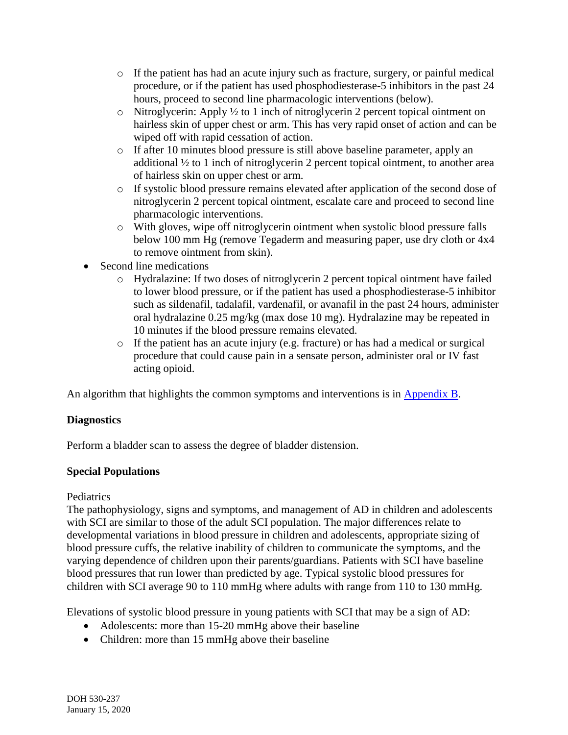- $\circ$  If the patient has had an acute injury such as fracture, surgery, or painful medical procedure, or if the patient has used phosphodiesterase-5 inhibitors in the past 24 hours, proceed to second line pharmacologic interventions (below).
- o Nitroglycerin: Apply ½ to 1 inch of nitroglycerin 2 percent topical ointment on hairless skin of upper chest or arm. This has very rapid onset of action and can be wiped off with rapid cessation of action.
- o If after 10 minutes blood pressure is still above baseline parameter, apply an additional ½ to 1 inch of nitroglycerin 2 percent topical ointment, to another area of hairless skin on upper chest or arm.
- o If systolic blood pressure remains elevated after application of the second dose of nitroglycerin 2 percent topical ointment, escalate care and proceed to second line pharmacologic interventions.
- o With gloves, wipe off nitroglycerin ointment when systolic blood pressure falls below 100 mm Hg (remove Tegaderm and measuring paper, use dry cloth or 4x4 to remove ointment from skin).
- Second line medications
	- o Hydralazine: If two doses of nitroglycerin 2 percent topical ointment have failed to lower blood pressure, or if the patient has used a phosphodiesterase-5 inhibitor such as sildenafil, tadalafil, vardenafil, or avanafil in the past 24 hours, administer oral hydralazine 0.25 mg/kg (max dose 10 mg). Hydralazine may be repeated in 10 minutes if the blood pressure remains elevated.
	- o If the patient has an acute injury (e.g. fracture) or has had a medical or surgical procedure that could cause pain in a sensate person, administer oral or IV fast acting opioid.

An algorithm that highlights the common symptoms and interventions is in [Appendix B.](#page-7-0)

# **Diagnostics**

Perform a bladder scan to assess the degree of bladder distension.

## **Special Populations**

## Pediatrics

The pathophysiology, signs and symptoms, and management of AD in children and adolescents with SCI are similar to those of the adult SCI population. The major differences relate to developmental variations in blood pressure in children and adolescents, appropriate sizing of blood pressure cuffs, the relative inability of children to communicate the symptoms, and the varying dependence of children upon their parents/guardians. Patients with SCI have baseline blood pressures that run lower than predicted by age. Typical systolic blood pressures for children with SCI average 90 to 110 mmHg where adults with range from 110 to 130 mmHg.

Elevations of systolic blood pressure in young patients with SCI that may be a sign of AD:

- Adolescents: more than 15-20 mmHg above their baseline
- Children: more than 15 mmHg above their baseline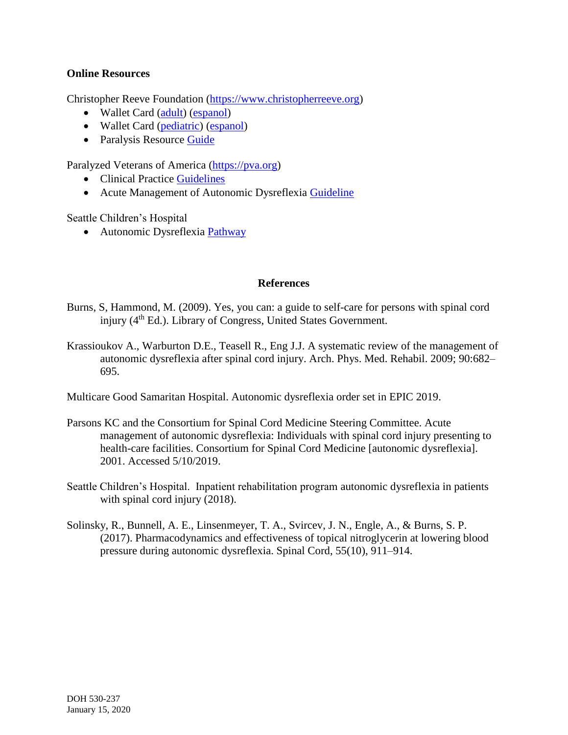## **Online Resources**

Christopher Reeve Foundation [\(https://www.christopherreeve.org\)](https://www.christopherreeve.org/)

- Wallet Card [\(adult\)](http://s3.amazonaws.com/reeve-assets-production/AD-Guide-Adult-5-18.pdf) [\(espanol\)](http://s3.amazonaws.com/reeve-assets-production/Tarjeta_DA_para_adultos_Reeve_Foundation_-Español.PDF)
- Wallet Card [\(pediatric\)](http://s3.amazonaws.com/reeve-assets-production/AD-Guide-Ped-5-18.pdf) [\(espanol\)](http://s3.amazonaws.com/reeve-assets-production/AD-Guide-Ped-Span-5-18.pdf)
- Paralysis Resource [Guide](https://www.christopherreeve.org/living-with-paralysis/free-resources-and-downloads/paralysis-resource-guide)

Paralyzed Veterans of America [\(https://pva.org\)](https://pva.org/)

- Clinical Practice [Guidelines](https://pva.org/research-resources/publications/clinical-practice-guidelines/)
- Acute Management of Autonomic Dysreflexia [Guideline](https://pva-cdnendpoint.azureedge.net/prod/libraries/media/pva/library/publications/cpg_autonomic-dysreflexia.pdf)

Seattle Children's Hospital

• Autonomic Dysreflexia [Pathway](https://www.seattlechildrens.org/pdf/autonomic-dysreflexia-pathway.pdf)

## **References**

- Burns, S, Hammond, M. (2009). Yes, you can: a guide to self-care for persons with spinal cord injury (4<sup>th</sup> Ed.). Library of Congress, United States Government.
- Krassioukov A., Warburton D.E., Teasell R., Eng J.J. A systematic review of the management of autonomic dysreflexia after spinal cord injury. Arch. Phys. Med. Rehabil. 2009; 90:682– 695.

Multicare Good Samaritan Hospital. Autonomic dysreflexia order set in EPIC 2019.

- Parsons KC and the Consortium for Spinal Cord Medicine Steering Committee. Acute management of autonomic dysreflexia: Individuals with spinal cord injury presenting to health-care facilities. Consortium for Spinal Cord Medicine [autonomic dysreflexia]. 2001. Accessed 5/10/2019.
- Seattle Children's Hospital. Inpatient rehabilitation program autonomic dysreflexia in patients with spinal cord injury (2018).
- Solinsky, R., Bunnell, A. E., Linsenmeyer, T. A., Svircev, J. N., Engle, A., & Burns, S. P. (2017). Pharmacodynamics and effectiveness of topical nitroglycerin at lowering blood pressure during autonomic dysreflexia. Spinal Cord, 55(10), 911–914.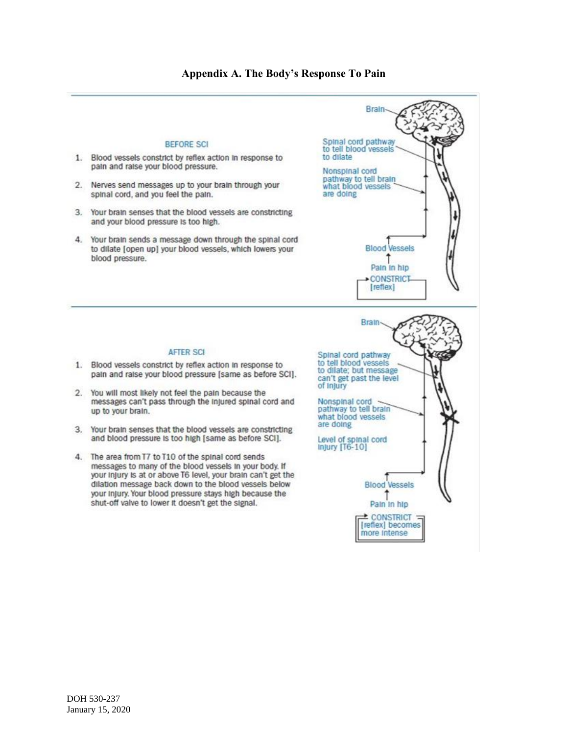<span id="page-6-0"></span>

## **Appendix A. The Body's Response To Pain**